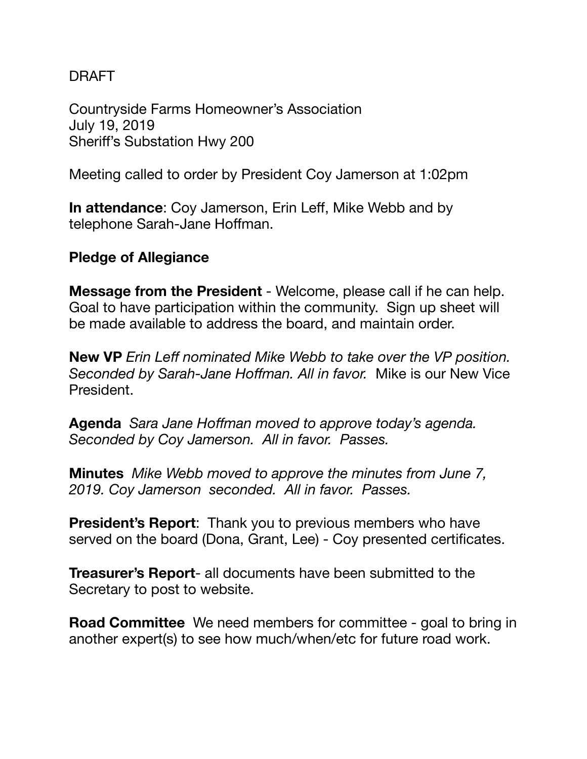## DRAFT

Countryside Farms Homeowner's Association July 19, 2019 Sheriff's Substation Hwy 200

Meeting called to order by President Coy Jamerson at 1:02pm

**In attendance**: Coy Jamerson, Erin Leff, Mike Webb and by telephone Sarah-Jane Hoffman.

## **Pledge of Allegiance**

**Message from the President** - Welcome, please call if he can help. Goal to have participation within the community. Sign up sheet will be made available to address the board, and maintain order.

**New VP** *Erin Leff nominated Mike Webb to take over the VP position. Seconded by Sarah-Jane Hoffman. All in favor.* Mike is our New Vice President.

**Agenda** *Sara Jane Hoffman moved to approve today's agenda. Seconded by Coy Jamerson. All in favor. Passes.* 

**Minutes** *Mike Webb moved to approve the minutes from June 7, 2019. Coy Jamerson seconded. All in favor. Passes.* 

**President's Report**: Thank you to previous members who have served on the board (Dona, Grant, Lee) - Coy presented certificates.

**Treasurer's Report**- all documents have been submitted to the Secretary to post to website.

**Road Committee** We need members for committee - goal to bring in another expert(s) to see how much/when/etc for future road work.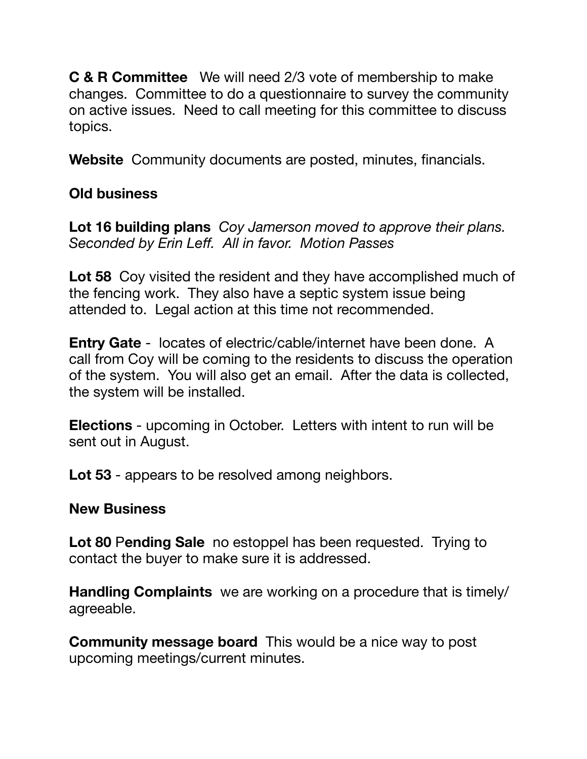**C & R Committee** We will need 2/3 vote of membership to make changes. Committee to do a questionnaire to survey the community on active issues. Need to call meeting for this committee to discuss topics.

**Website** Community documents are posted, minutes, financials.

# **Old business**

**Lot 16 building plans** *Coy Jamerson moved to approve their plans. Seconded by Erin Leff. All in favor. Motion Passes* 

**Lot 58** Coy visited the resident and they have accomplished much of the fencing work. They also have a septic system issue being attended to. Legal action at this time not recommended.

**Entry Gate** - locates of electric/cable/internet have been done. A call from Coy will be coming to the residents to discuss the operation of the system. You will also get an email. After the data is collected, the system will be installed.

**Elections** - upcoming in October. Letters with intent to run will be sent out in August.

**Lot 53** - appears to be resolved among neighbors.

# **New Business**

**Lot 80** P**ending Sale** no estoppel has been requested. Trying to contact the buyer to make sure it is addressed.

**Handling Complaints** we are working on a procedure that is timely/ agreeable.

**Community message board** This would be a nice way to post upcoming meetings/current minutes.